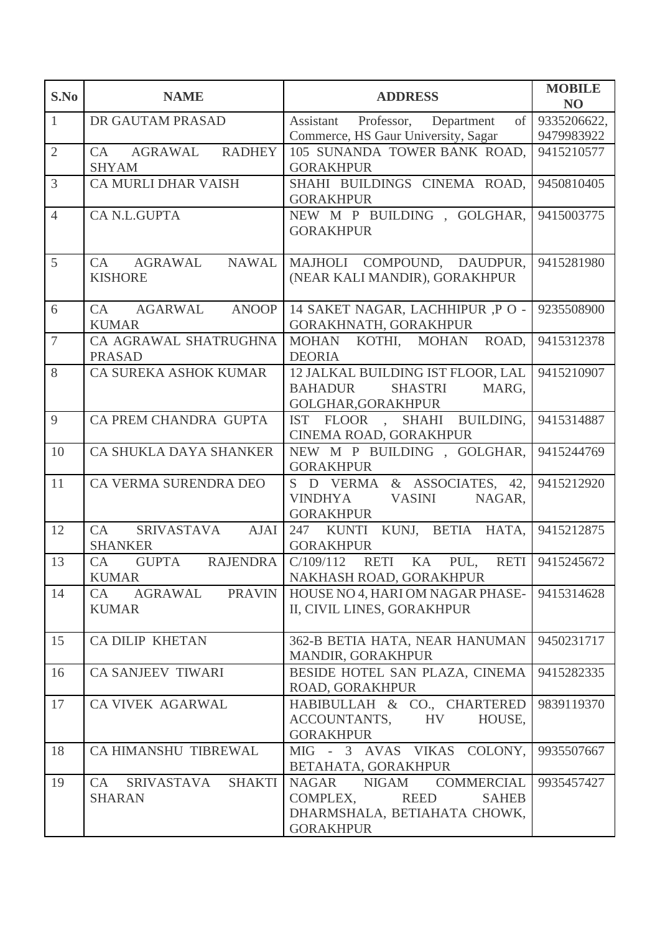| S.No           | <b>NAME</b>                                        | <b>ADDRESS</b>                                                                                                        | <b>MOBILE</b><br>N <sub>O</sub> |
|----------------|----------------------------------------------------|-----------------------------------------------------------------------------------------------------------------------|---------------------------------|
| $\mathbf{1}$   | DR GAUTAM PRASAD                                   | of  <br>Assistant Professor,<br>Department                                                                            | 9335206622,<br>9479983922       |
| $\overline{2}$ | <b>RADHEY</b><br>CA AGRAWAL<br><b>SHYAM</b>        | Commerce, HS Gaur University, Sagar<br>105 SUNANDA TOWER BANK ROAD,<br><b>GORAKHPUR</b>                               | 9415210577                      |
| 3              | <b>CA MURLI DHAR VAISH</b>                         | SHAHI BUILDINGS CINEMA ROAD,<br><b>GORAKHPUR</b>                                                                      | 9450810405                      |
| $\overline{4}$ | CA N.L.GUPTA                                       | NEW M P BUILDING, GOLGHAR,<br><b>GORAKHPUR</b>                                                                        | 9415003775                      |
| 5              | CA AGRAWAL NAWAL<br><b>KISHORE</b>                 | MAJHOLI COMPOUND, DAUDPUR,<br>(NEAR KALI MANDIR), GORAKHPUR                                                           | 9415281980                      |
| 6              | AGARWAL ANOOP<br>CA<br><b>KUMAR</b>                | 14 SAKET NAGAR, LACHHIPUR ,P O -<br>GORAKHNATH, GORAKHPUR                                                             | 9235508900                      |
| $\tau$         | CA AGRAWAL SHATRUGHNA<br><b>PRASAD</b>             | MOHAN KOTHI, MOHAN<br>ROAD,<br><b>DEORIA</b>                                                                          | 9415312378                      |
| 8              | CA SUREKA ASHOK KUMAR                              | 12 JALKAL BUILDING IST FLOOR, LAL<br><b>BAHADUR</b><br><b>SHASTRI</b><br>MARG,<br>GOLGHAR, GORAKHPUR                  | 9415210907                      |
| 9              | CA PREM CHANDRA GUPTA                              | IST FLOOR , SHAHI BUILDING,<br>CINEMA ROAD, GORAKHPUR                                                                 | 9415314887                      |
| 10             | CA SHUKLA DAYA SHANKER                             | NEW M P BUILDING, GOLGHAR,<br><b>GORAKHPUR</b>                                                                        | 9415244769                      |
| 11             | CA VERMA SURENDRA DEO                              | S D VERMA & ASSOCIATES, 42,<br>VINDHYA VASINI<br>NAGAR,<br><b>GORAKHPUR</b>                                           | 9415212920                      |
| 12             | SRIVASTAVA AJAI<br>CA<br><b>SHANKER</b>            | 247 KUNTI KUNJ, BETIA HATA,<br><b>GORAKHPUR</b>                                                                       | 9415212875                      |
| 13             | GUPTA RAJENDRA<br>CA<br><b>KUMAR</b>               | C/109/112<br>RETI KA PUL,<br><b>RETI</b><br>NAKHASH ROAD, GORAKHPUR                                                   | 9415245672                      |
| 14             | CA<br>AGRAWAL<br><b>PRAVIN</b><br><b>KUMAR</b>     | HOUSE NO 4, HARI OM NAGAR PHASE-<br>II, CIVIL LINES, GORAKHPUR                                                        | 9415314628                      |
| 15             | <b>CA DILIP KHETAN</b>                             | 362-B BETIA HATA, NEAR HANUMAN<br>MANDIR, GORAKHPUR                                                                   | 9450231717                      |
| 16             | <b>CA SANJEEV TIWARI</b>                           | BESIDE HOTEL SAN PLAZA, CINEMA<br>ROAD, GORAKHPUR                                                                     | 9415282335                      |
| 17             | CA VIVEK AGARWAL                                   | HABIBULLAH & CO., CHARTERED<br>ACCOUNTANTS,<br><b>HV</b><br>HOUSE,<br><b>GORAKHPUR</b>                                | 9839119370                      |
| 18             | CA HIMANSHU TIBREWAL                               | MIG - 3 AVAS VIKAS COLONY,<br>BETAHATA, GORAKHPUR                                                                     | 9935507667                      |
| 19             | SRIVASTAVA<br><b>SHAKTI</b><br>CA<br><b>SHARAN</b> | NAGAR NIGAM COMMERCIAL<br>COMPLEX,<br><b>REED</b><br><b>SAHEB</b><br>DHARMSHALA, BETIAHATA CHOWK,<br><b>GORAKHPUR</b> | 9935457427                      |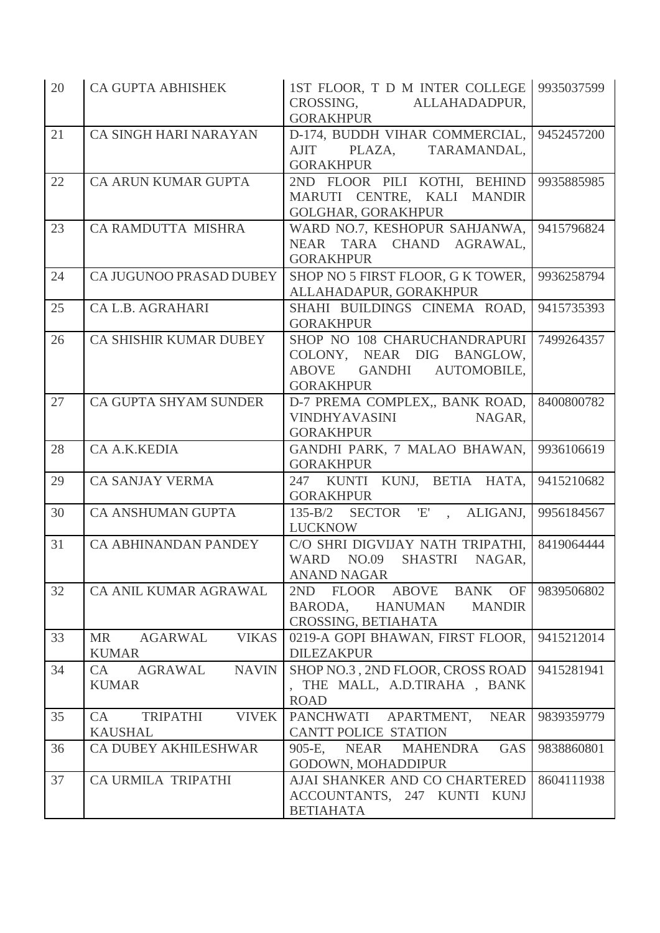| 20 | <b>CA GUPTA ABHISHEK</b>                             | 1ST FLOOR, T D M INTER COLLEGE 9935037599<br>CROSSING, ALLAHADADPUR,<br><b>GORAKHPUR</b>                  |            |
|----|------------------------------------------------------|-----------------------------------------------------------------------------------------------------------|------------|
| 21 | CA SINGH HARI NARAYAN                                | D-174, BUDDH VIHAR COMMERCIAL,<br>AJIT PLAZA, TARAMANDAL,<br><b>GORAKHPUR</b>                             | 9452457200 |
| 22 | CA ARUN KUMAR GUPTA                                  | 2ND FLOOR PILI KOTHI, BEHIND<br>MARUTI CENTRE, KALI MANDIR<br><b>GOLGHAR, GORAKHPUR</b>                   | 9935885985 |
| 23 | CA RAMDUTTA MISHRA                                   | WARD NO.7, KESHOPUR SAHJANWA,<br>NEAR TARA CHAND AGRAWAL,<br><b>GORAKHPUR</b>                             | 9415796824 |
| 24 | CA JUGUNOO PRASAD DUBEY                              | SHOP NO 5 FIRST FLOOR, G K TOWER,<br>ALLAHADAPUR, GORAKHPUR                                               | 9936258794 |
| 25 | CA L.B. AGRAHARI                                     | SHAHI BUILDINGS CINEMA ROAD,<br><b>GORAKHPUR</b>                                                          | 9415735393 |
| 26 | CA SHISHIR KUMAR DUBEY                               | SHOP NO 108 CHARUCHANDRAPURI<br>COLONY, NEAR DIG BANGLOW,<br>ABOVE GANDHI AUTOMOBILE,<br><b>GORAKHPUR</b> | 7499264357 |
| 27 | CA GUPTA SHYAM SUNDER                                | D-7 PREMA COMPLEX,, BANK ROAD,<br>VINDHYAVASINI NAGAR,<br><b>GORAKHPUR</b>                                | 8400800782 |
| 28 | CA A.K.KEDIA                                         | GANDHI PARK, 7 MALAO BHAWAN,<br><b>GORAKHPUR</b>                                                          | 9936106619 |
| 29 | <b>CA SANJAY VERMA</b>                               | 247 KUNTI KUNJ, BETIA HATA,<br><b>GORAKHPUR</b>                                                           | 9415210682 |
| 30 | <b>CA ANSHUMAN GUPTA</b>                             | SECTOR 'E', ALIGANJ,<br>$135 - B/2$<br><b>LUCKNOW</b>                                                     | 9956184567 |
| 31 | <b>CA ABHINANDAN PANDEY</b>                          | C/O SHRI DIGVIJAY NATH TRIPATHI,<br>WARD NO.09 SHASTRI NAGAR,<br>ANAND NAGAR                              | 8419064444 |
| 32 | CA ANIL KUMAR AGRAWAL                                | FLOOR<br>ABOVE BANK<br>2ND<br>OF<br>BARODA,<br>HANUMAN<br><b>MANDIR</b><br>CROSSING, BETIAHATA            | 9839506802 |
| 33 | <b>MR</b><br><b>VIKAS</b><br>AGARWAL<br><b>KUMAR</b> | 0219-A GOPI BHAWAN, FIRST FLOOR,<br><b>DILEZAKPUR</b>                                                     | 9415212014 |
| 34 | <b>NAVIN</b><br>CA<br>AGRAWAL<br><b>KUMAR</b>        | SHOP NO.3, 2ND FLOOR, CROSS ROAD<br>, THE MALL, A.D.TIRAHA, BANK<br><b>ROAD</b>                           | 9415281941 |
| 35 | <b>VIVEK</b><br>CA<br>TRIPATHI<br><b>KAUSHAL</b>     | PANCHWATI APARTMENT,<br><b>NEAR</b><br>CANTT POLICE STATION                                               | 9839359779 |
| 36 | <b>CA DUBEY AKHILESHWAR</b>                          | 905-E, NEAR MAHENDRA<br>GAS<br>GODOWN, MOHADDIPUR                                                         | 9838860801 |
| 37 | CA URMILA TRIPATHI                                   | AJAI SHANKER AND CO CHARTERED<br>ACCOUNTANTS, 247 KUNTI KUNJ<br><b>BETIAHATA</b>                          | 8604111938 |